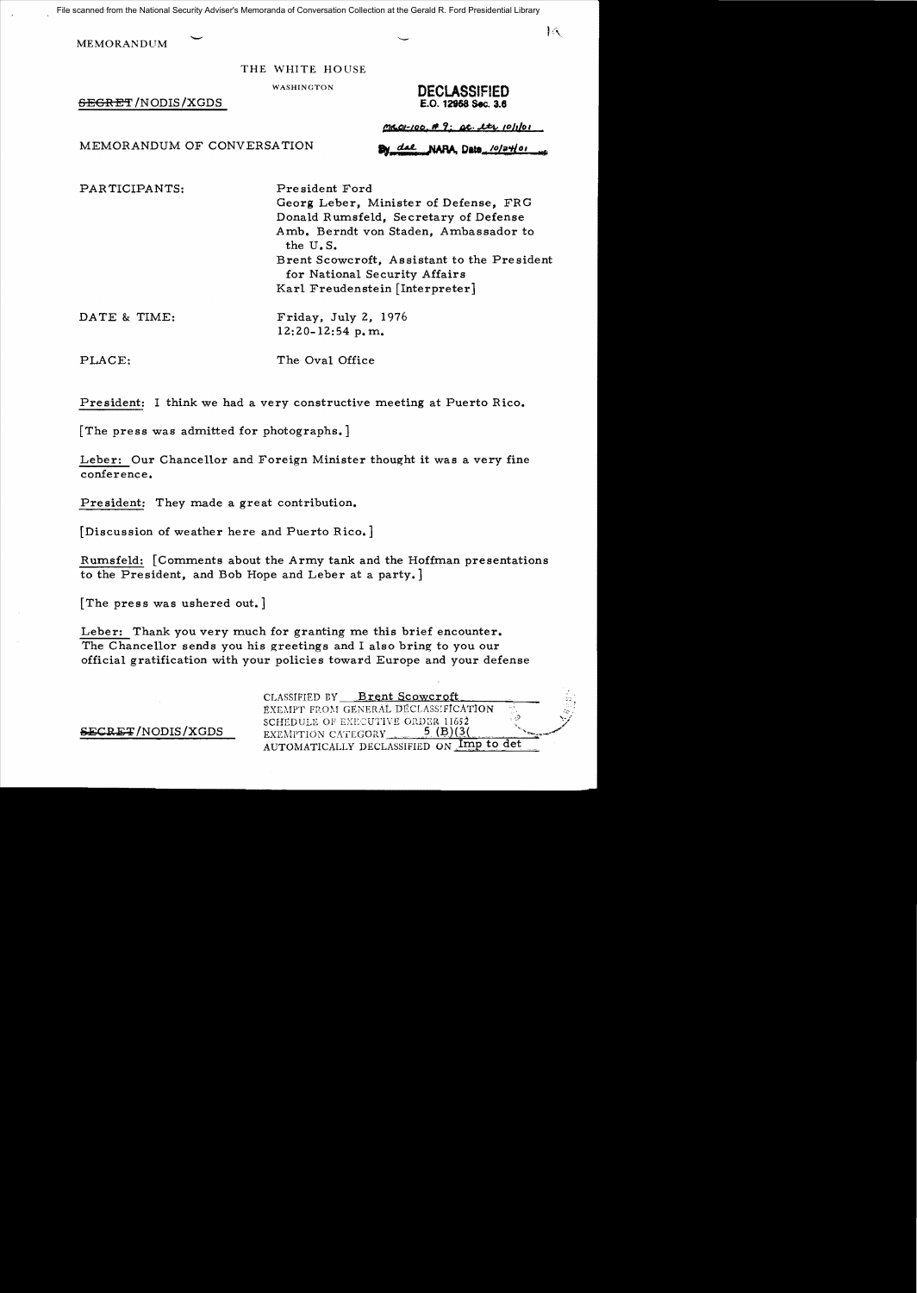File scanned from the National Security Adviser's Memoranda of Conversation Collection at the Gerald R. Ford Presidential Library

**MEMORANDUM** 

THE WHITE HOUSE

 $BEGRET/NODIS/XGDS$ 

WASHINGTON **DECLASSIFIED**<br>**E.O. 12968 Sec. 3.6** 

 $\overline{\mathcal{A}}$ 

MEMORANDUM OF CONVERSATION **By dat NARA Data** /0/24/01

*me 01-100. #9: pt. etc. etc. 10/1/01* 

PARTICIPANTS: President Ford Georg Leber, Minister of Defense, FRG Donald Rumsfeld, Secretary of Defense Amb. Berndt von Staden, Ambassador to the U. S. Brent Scowcroft, Assistant to the President for National Security Affairs Karl Freudenstein [Interpreter]

DATE & TIME: Friday, July 2, 1976  $12:20-12:54$  p.m.

PLACE: The Oval Office

President: I think we had a very constructive meeting at Puerto Rico.

[The press was admitted for photographs.]

Leber: Our Chancellor and Foreign Minister thought it was a very fine conference.

President: They made a great contribution.

[Discussion of weather here and Puerto Rico.]

Rumsfeld: [Comments about the Army tank and the Hoffman presentations to the President, and Bob Hope and Leber at a party.

[The press was ushered out.]

Leber: Thank you very much for granting me this brief encounter. The Chancellor sends you his greetings and I also bring to you our official gratification with your policies toward Europe and your defense

CLASSIFIED BY Brent Scowcroft EXEMPT FROM GENERAL DECLASSIFICATION SCHfDULE OF EXECUTIVE OI~D;::;R 11652 .. :) *<:j* SECRE~ 5 ( ) '....../ /NODIS/XGDS EXEMpTION CAT.cGORY.. '.' J?(,3.L.. -;~-. EXEMPTION CATEGORY  $\frac{5}{10}$  (B)(3)<br>AUTOMATICALLY DECLASSIFIED ON  $\frac{1}{10}$  to det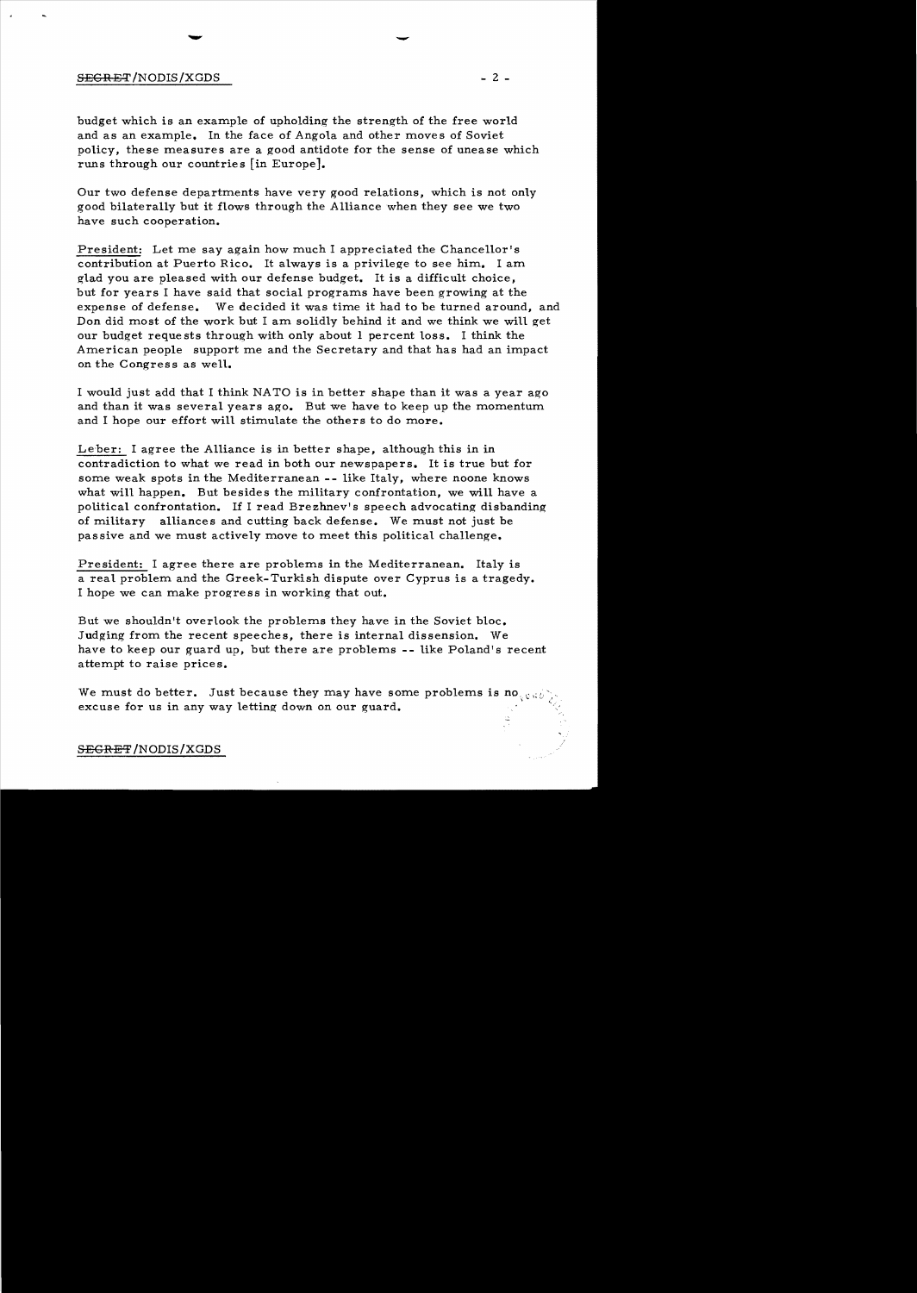## $S \to \text{S} \to 2$  -  $2$  -

budget which is an example of upholding the strength of the free world and as an example. In the face of Angola and other moves of Soviet policy, these measures are a good antidote for the sense of unease which runs through our countries [in Europe].

Our two defense departments have very good relations, which is not only good bilaterally but it flows through the Alliance when they see we two have such cooperation.

President: Let me say again how much I appreciated the Chancellor's contribution at Puerto Rico. It always is a privilege to see him. I am glad you are pleased with our defense budget. It is a difficult choice, but for years I have said that social programs have been growing at the expense of defense. We decided it was time it had to be turned around, and Don did most of the work but I am solidly behind it and we think we will get our budget requests through with only about 1 percent loss. I think the American people support me and the Secretary and that has had an impact on the Congress as well.

I would just add that I think NATO is in better shape than it was a year ago and than it was several years ago. But we have to keep up the momentum and I hope our effort will stimulate the others to do more.

Le'ber: I agree the Alliance is in better shape, although this in in contradiction to what we read in both our newspapers. It is true but for some weak spots in the Mediterranean **--** like Italy, where noone knows what will happen. But besides the military confrontation, we will have a political confrontation. If I read Brezhnev's speech advocating disbanding of military alliances and cutting back defense. We must not just be passive and we must actively move to meet this political challenge.

Pre sident: I agree there are problems in the Mediterranean. Italy is a real problem and the Greek-Turkish dispute over Cyprus is a tragedy. I hope we can make progress in working that out.

But we shouldn't overlook the problems they have in the Soviet bloc. Judging from the recent speeches, there is internal dissension. We have to keep our guard up, but there are problems **--** like Poland's recent attempt to raise prices.

We must do better. Just because they may have some problems is no,  $\mathbf{Q}$ excuse for us in any way letting down on our guard.

## SEGRET/NODIS/XGDS

-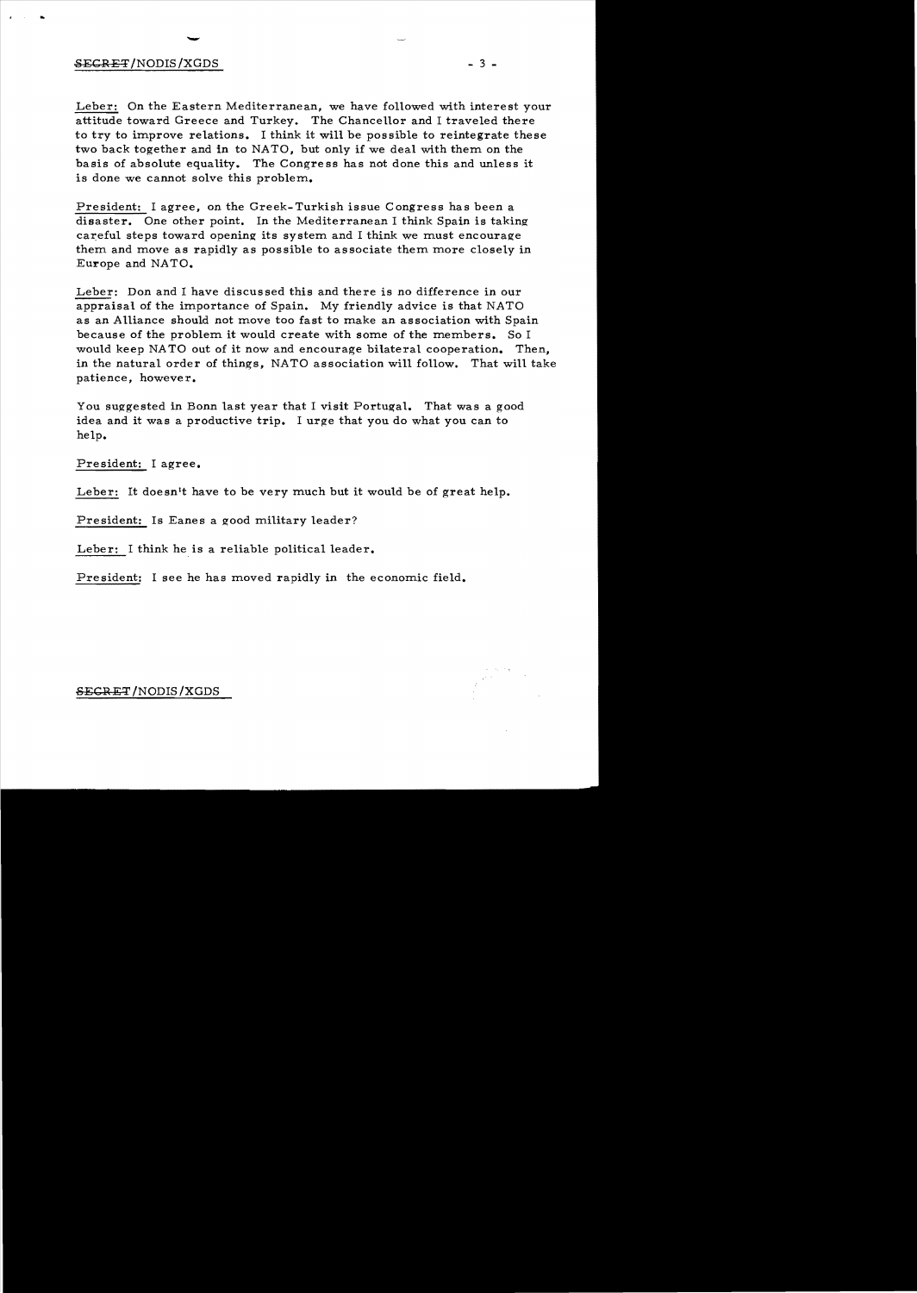# $\overline{v}$ SECRET*INODIS IXGDS* - 3 -

..

Leber: On the Eastern Mediterranean, we have followed with interest your attitude toward Greece and Turkey. The Chancellor and I traveled there to try to improve relations. I think it will be possible to reintegrate these two back together and in to NATO, but only if we deal with them on the basis of absolute equality. The Congress has not done this and unless it is done we cannot solve this problem.

President: I agree, on the Greek-Turkish issue Congress has been a disaster. One other point. In the Mediterranean I think Spain is taking careful steps toward opening its system and I think we must encourage them and move as rapidly as possible to associate them more closely in Europe and NATO.

Leber: Don and I have discussed this and there is no difference in our appraisal of the importance of Spain. My friendly advice is that NATO as an Alliance should not move too fast to make an association with Spain because of the problem it would create with some of the members. So I would keep NATO out of it now and encourage bilateral cooperation. Then, in the natural order of things, NATO association will follow. That will take patience, however.

You suggested in Bonn last year that I visit Portugal. That was a good idea and it was a productive trip. I urge that you do what you can to help.

President: I agree.

Leber: It doesn't have to be very much but it would be of great help.

President: Is Eanes a good military leader?

Leber: I think he is a reliable political leader.

President: I see he has moved rapidly in the economic field.

#### SECR ET *IN*ODIS *IXGDS*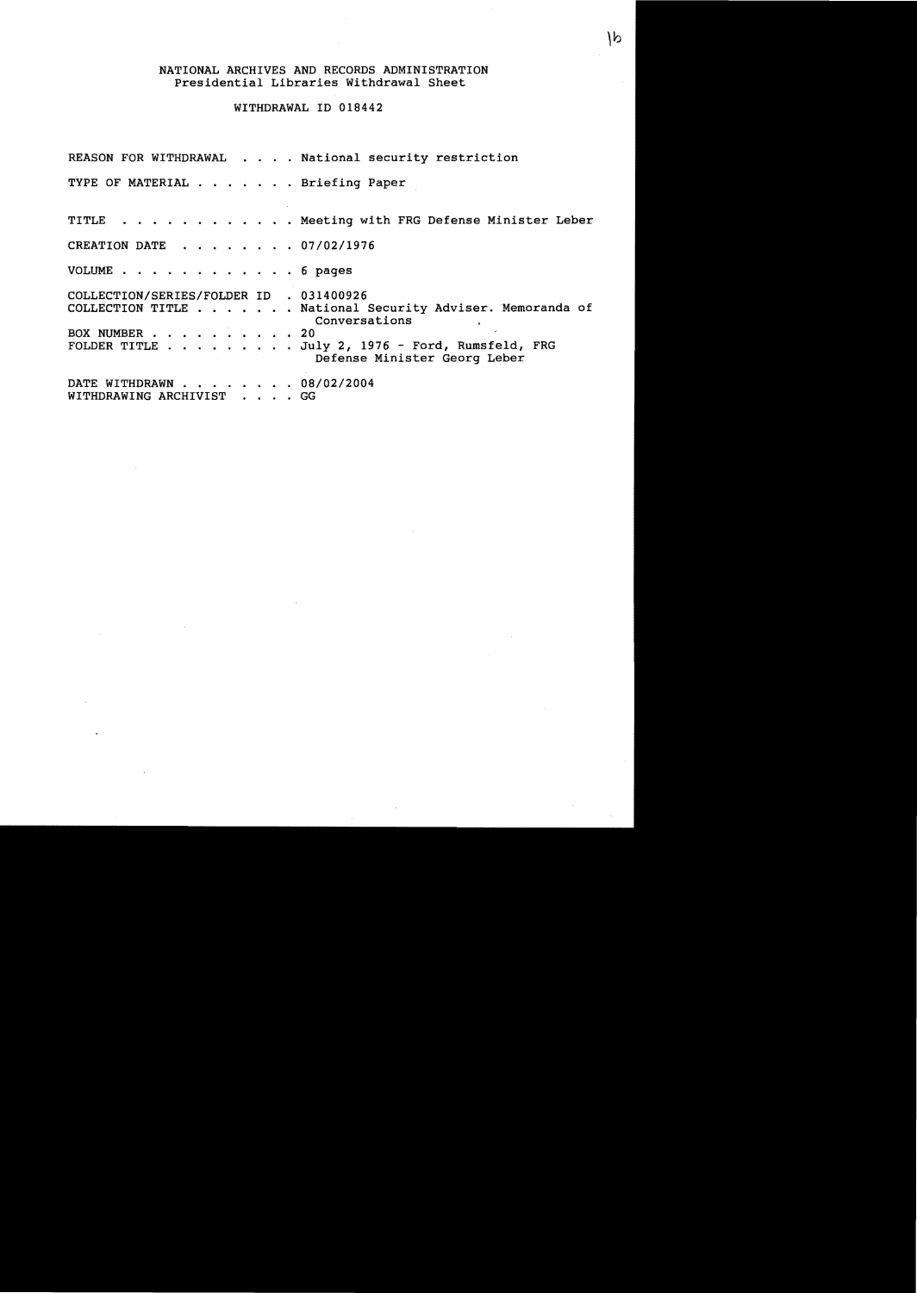### NATIONAL ARCHIVES AND RECORDS ADMINISTRATION Presidential Libraries Withdrawal Sheet

## WITHDRAWAL ID 018442

REASON FOR WITHDRAWAL . . . . National security restriction TYPE OF MATERIAL . . . . . . Briefing Paper TITLE . . . . . . . . . . . Meeting with FRG Defense Minister Leber CREATION DATE . . . . . . 07/02/1976 VOLUME . . . . . . . . . . . . 6 pages COLLECTION/SERIES/FOLDER ID . 031400926 COLLECTION TITLE . . . . . . National Security Adviser. Memoranda of Conversations BOX NUMBER . . . . . . . . . . 20<br>FOLDER TITLE . . . . . . . . Ju.  $\ldots$  . July 2, 1976 - Ford, Rumsfeld, FRG Defense Minister Georg Leber DATE WITHDRAWN . . . . . . . 08/02/2004 WITHDRAWING ARCHIVIST . . . . GG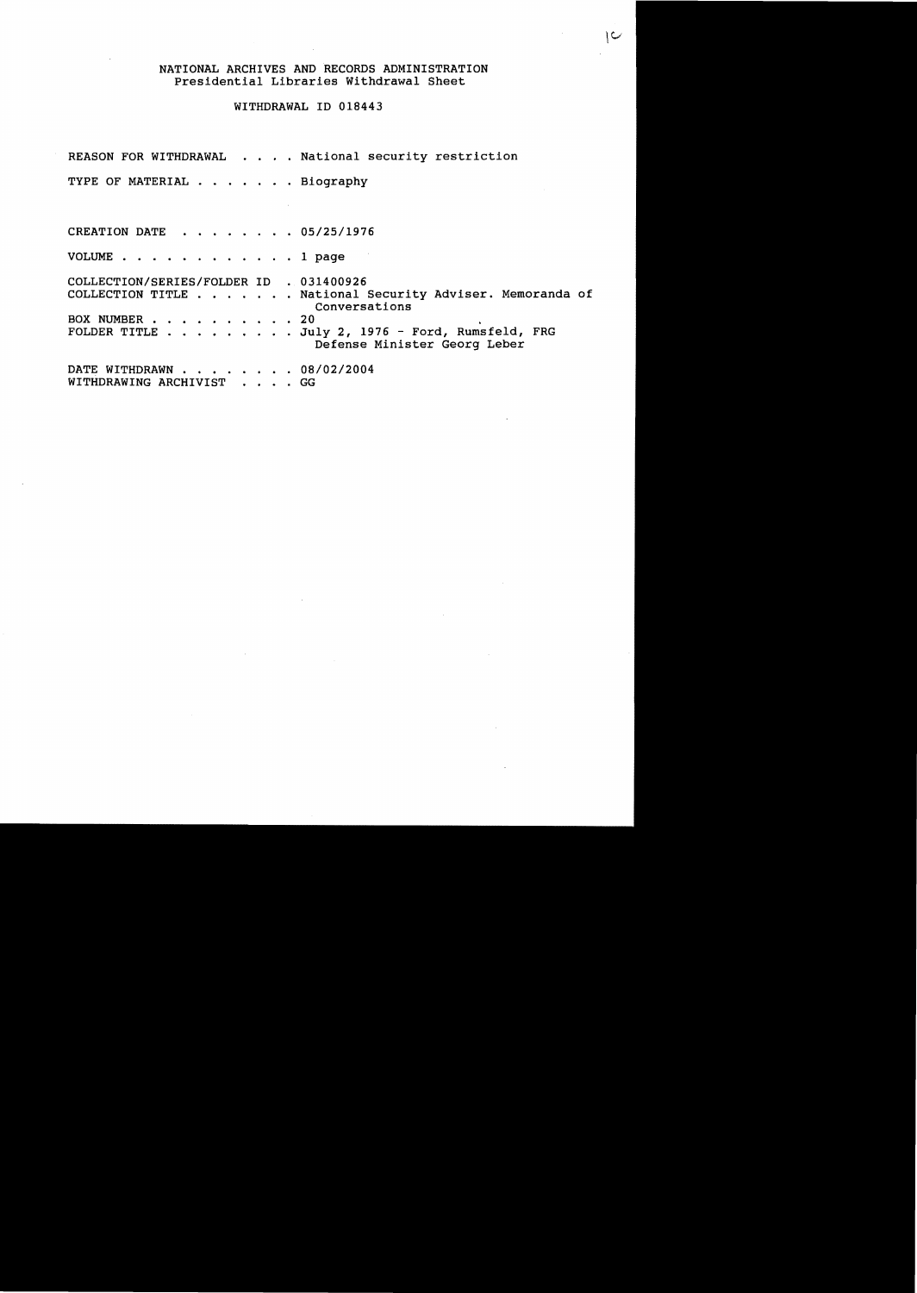#### NATIONAL ARCHIVES AND RECORDS ADMINISTRATION Presidential Libraries Withdrawal Sheet

ے |

## WITHDRAWAL ID 018443

REASON FOR WITHDRAWAL . . . . National security restriction TYPE OF MATERIAL . . . . . . Biography CREATION DATE . . . . . . . 05/25/1976 VOLUME . . . . . . . . . . . . 1 page COLLECTION/SERIES/FOLDER ID . 031400926 COLLECTION/SERIES/FOLDER ID . 031400926<br>COLLECTION TITLE . . . . . . . National Security Adviser. Memoranda of EOX NUMBER . . . . . . . . . . 20 COLLECTION TITLE . . . . . . . National Security Adviser<br>BOX NUMBER . . . . . . . . . . 20<br>FOLDER TITLE . . . . . . . . . . . 20 FOLDER TITLE  $\ldots$  . . . . . . July 2, 1976 - Ford, Rumsfeld, FRG Defense Minister Georg Leber DATE WITHDRAWN . . . . . . . 08/02/2004 WITHDRAWING ARCHIVIST . . . . GG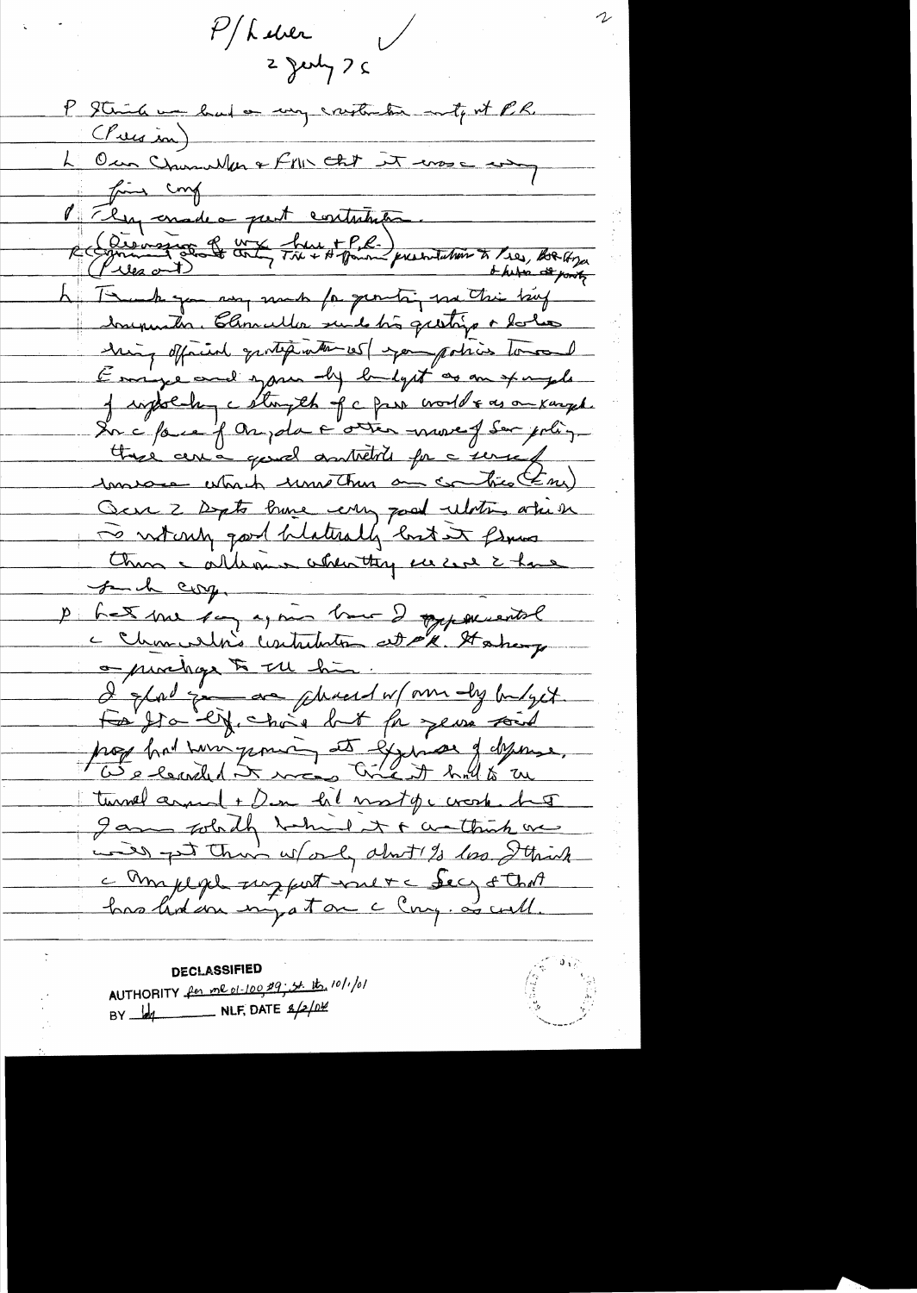$P/h$  ever<br>2 July 7 5  $\bigvee$ P Stinh un had on my cristianten mitj est P.R. L'Our Churches et PML Cht it erse any fine conf P Elegandes part contribution. Creaning State and the House presentation to the, Rolling h Tomah you any mak for genetic, me this big Souperation Charles suit très quetiges dolies hing official quotest with 105/ spor polices tomoned Emige and span by budget as an example J informa cette fa par voille es auxemple Insure which unethen a controllery Och 2 Depts have every good ulations when To writing good blaterally but it flows than a alleman absorting us can i have funch corp. het me say again have 2 oppementel c Charnelin's contribution at P's Habery o punings to the him!<br>I show zoon as phreed w/am dy buget. For you eric but for years soit prof hat wingsmin et gjuns defense. turnel around + Den he most of c crosh. has I am which which it & wathink we

will get their ward about 1/3 loss I think a Amplique susport vinet a Secy & Chat

**DECLASSIFIED** AUTHORITY for me 01-100 09; st. 1ts, 10/1/01 BY  $\frac{1}{\sqrt{2}}$  NLF, DATE  $\frac{g}{2}$  NLF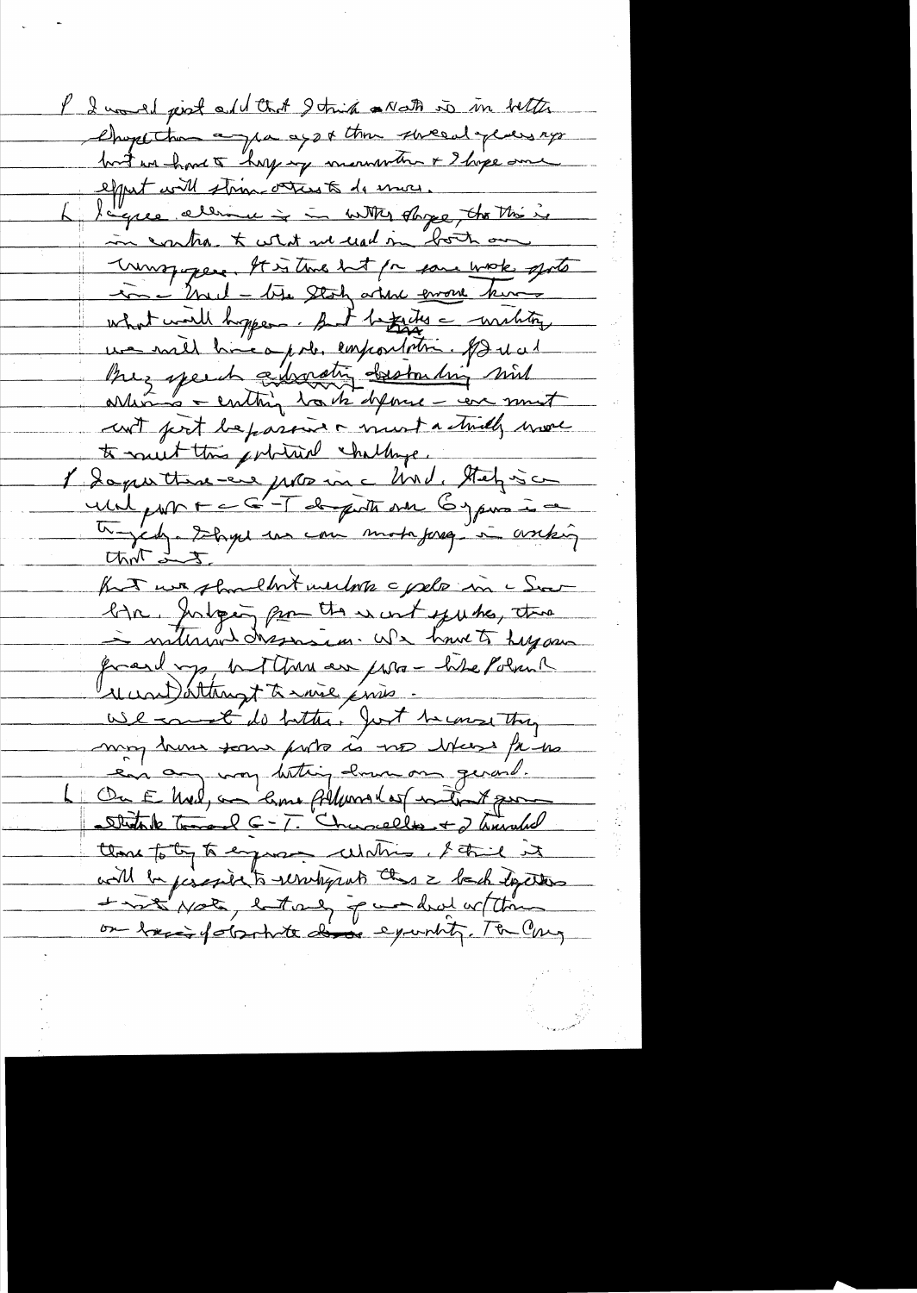I I would just add that I think a Nath is in better Chope than a pa ago a thin since at years ago equit will strim others to do more. l'exce aliment à à unité dage, the thing in cartra & what we used in both on unspipere. It is two hot for some work sports in 12 2001 - tite Stah article errore king what would hopper. But beginning - wishting un mil hui après emportations par di cut port bepassive must a stridly more te muit this primit chillinge. unil par F = 6-T de porte on 6 janva à 2 for we shouldn't with pele in a Sect lign, Julyen pour the suit yute, the frand mp, hat the are former the Polician und attempt to more ensis. use comment do butter. Just to consisting may home some ports is no where the me ean any way betting down on gerard. Ou E Med, au lime Albural est intent pour Studente Tomard C-T. Chancelles + 2 hours del those to to to engage white it this it will be percepted to result prob this is back deperture List you letters punded with on basis formite dive equinty. The Cary